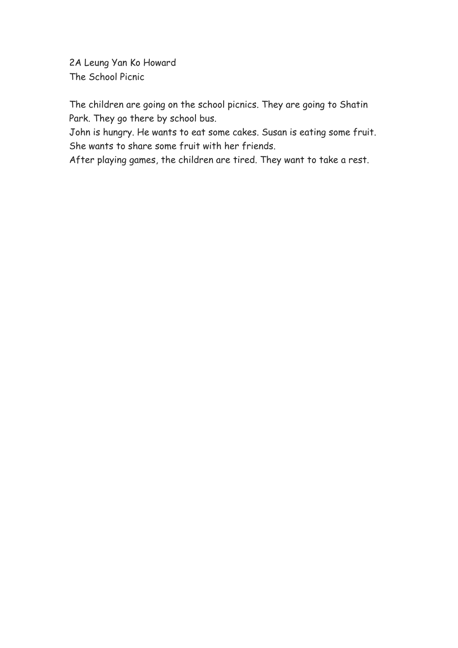2A Leung Yan Ko Howard The School Picnic

The children are going on the school picnics. They are going to Shatin Park. They go there by school bus.

John is hungry. He wants to eat some cakes. Susan is eating some fruit. She wants to share some fruit with her friends.

After playing games, the children are tired. They want to take a rest.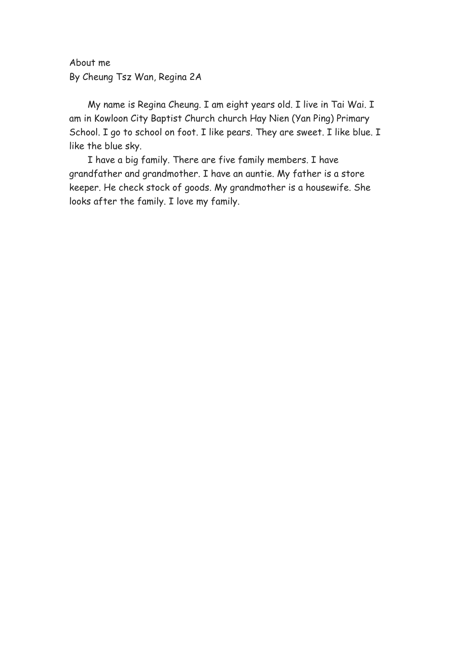About me By Cheung Tsz Wan, Regina 2A

My name is Regina Cheung. I am eight years old. I live in Tai Wai. I am in Kowloon City Baptist Church church Hay Nien (Yan Ping) Primary School. I go to school on foot. I like pears. They are sweet. I like blue. I like the blue sky.

 I have a big family. There are five family members. I have grandfather and grandmother. I have an auntie. My father is a store keeper. He check stock of goods. My grandmother is a housewife. She looks after the family. I love my family.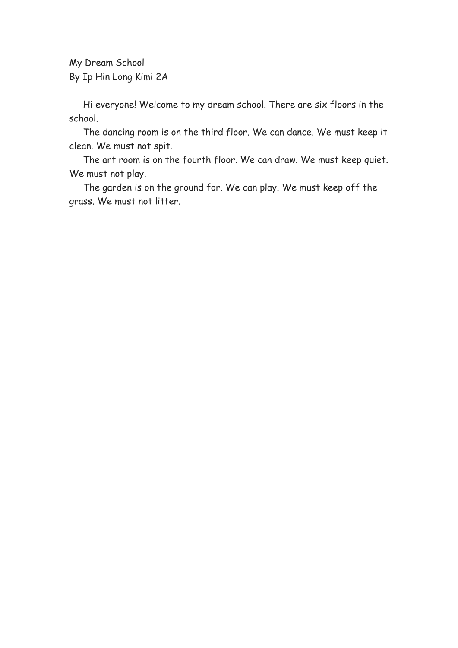My Dream School By Ip Hin Long Kimi 2A

 Hi everyone! Welcome to my dream school. There are six floors in the school.

 The dancing room is on the third floor. We can dance. We must keep it clean. We must not spit.

 The art room is on the fourth floor. We can draw. We must keep quiet. We must not play.

 The garden is on the ground for. We can play. We must keep off the grass. We must not litter.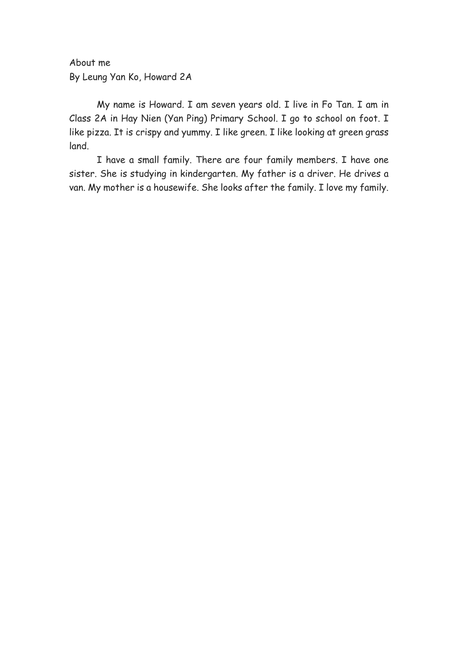About me By Leung Yan Ko, Howard 2A

My name is Howard. I am seven years old. I live in Fo Tan. I am in Class 2A in Hay Nien (Yan Ping) Primary School. I go to school on foot. I like pizza. It is crispy and yummy. I like green. I like looking at green grass land.

 I have a small family. There are four family members. I have one sister. She is studying in kindergarten. My father is a driver. He drives a van. My mother is a housewife. She looks after the family. I love my family.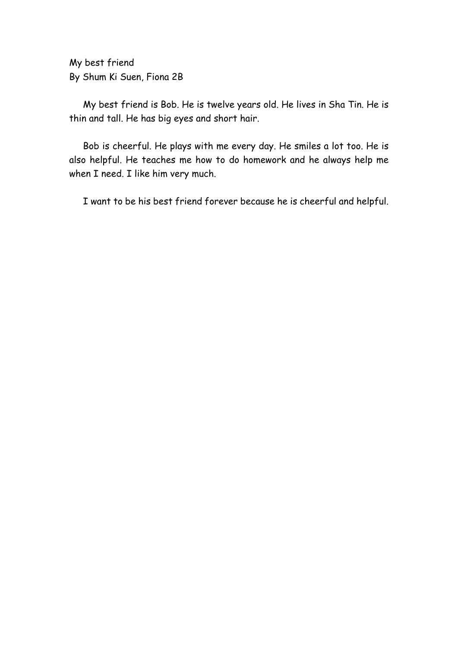My best friend By Shum Ki Suen, Fiona 2B

My best friend is Bob. He is twelve years old. He lives in Sha Tin. He is thin and tall. He has big eyes and short hair.

Bob is cheerful. He plays with me every day. He smiles a lot too. He is also helpful. He teaches me how to do homework and he always help me when I need. I like him very much.

I want to be his best friend forever because he is cheerful and helpful.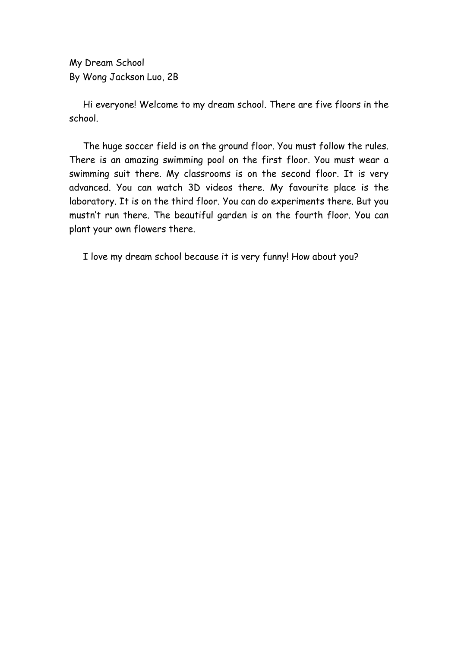My Dream School By Wong Jackson Luo, 2B

Hi everyone! Welcome to my dream school. There are five floors in the school.

The huge soccer field is on the ground floor. You must follow the rules. There is an amazing swimming pool on the first floor. You must wear a swimming suit there. My classrooms is on the second floor. It is very advanced. You can watch 3D videos there. My favourite place is the laboratory. It is on the third floor. You can do experiments there. But you mustn't run there. The beautiful garden is on the fourth floor. You can plant your own flowers there.

I love my dream school because it is very funny! How about you?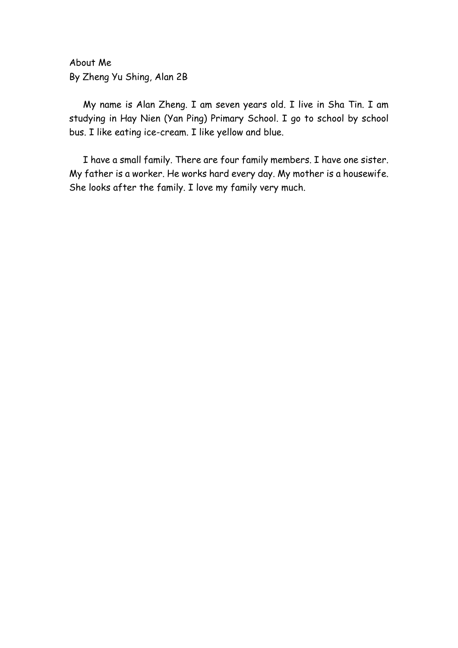About Me By Zheng Yu Shing, Alan 2B

My name is Alan Zheng. I am seven years old. I live in Sha Tin. I am studying in Hay Nien (Yan Ping) Primary School. I go to school by school bus. I like eating ice-cream. I like yellow and blue.

I have a small family. There are four family members. I have one sister. My father is a worker. He works hard every day. My mother is a housewife. She looks after the family. I love my family very much.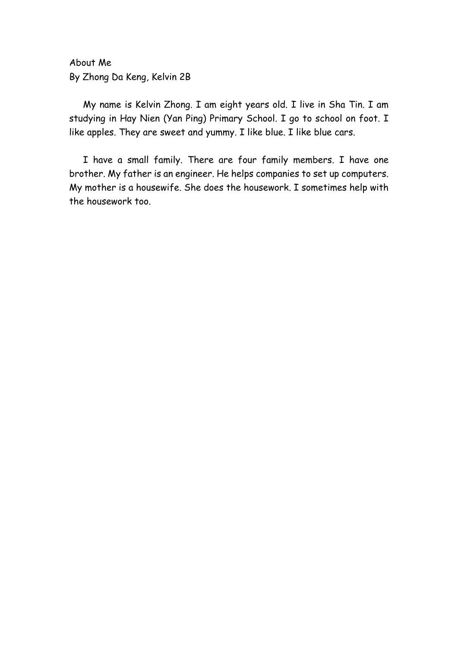About Me By Zhong Da Keng, Kelvin 2B

My name is Kelvin Zhong. I am eight years old. I live in Sha Tin. I am studying in Hay Nien (Yan Ping) Primary School. I go to school on foot. I like apples. They are sweet and yummy. I like blue. I like blue cars.

I have a small family. There are four family members. I have one brother. My father is an engineer. He helps companies to set up computers. My mother is a housewife. She does the housework. I sometimes help with the housework too.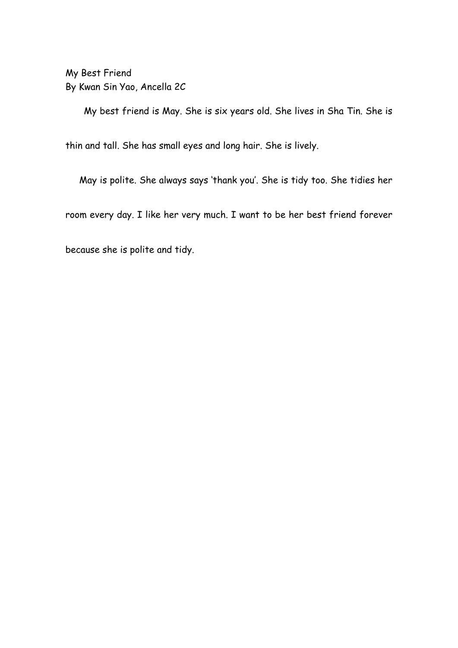My Best Friend By Kwan Sin Yao, Ancella 2C

My best friend is May. She is six years old. She lives in Sha Tin. She is

thin and tall. She has small eyes and long hair. She is lively.

May is polite. She always says 'thank you'. She is tidy too. She tidies her

room every day. I like her very much. I want to be her best friend forever

because she is polite and tidy.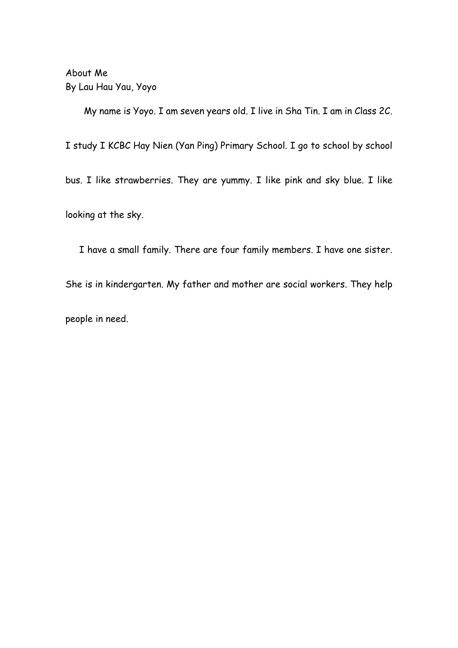About Me By Lau Hau Yau, Yoyo

My name is Yoyo. I am seven years old. I live in Sha Tin. I am in Class 2C. I study I KCBC Hay Nien (Yan Ping) Primary School. I go to school by school bus. I like strawberries. They are yummy. I like pink and sky blue. I like looking at the sky.

 I have a small family. There are four family members. I have one sister. She is in kindergarten. My father and mother are social workers. They help people in need.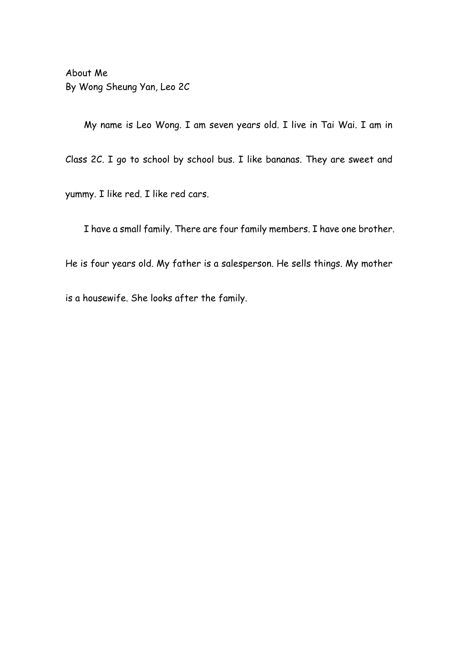About Me By Wong Sheung Yan, Leo 2C

My name is Leo Wong. I am seven years old. I live in Tai Wai. I am in Class 2C. I go to school by school bus. I like bananas. They are sweet and yummy. I like red. I like red cars.

I have a small family. There are four family members. I have one brother.

He is four years old. My father is a salesperson. He sells things. My mother

is a housewife. She looks after the family.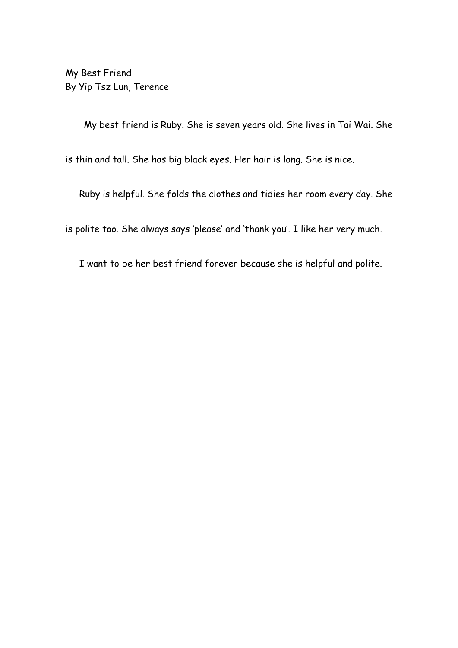My Best Friend By Yip Tsz Lun, Terence

My best friend is Ruby. She is seven years old. She lives in Tai Wai. She

is thin and tall. She has big black eyes. Her hair is long. She is nice.

Ruby is helpful. She folds the clothes and tidies her room every day. She

is polite too. She always says 'please' and 'thank you'. I like her very much.

I want to be her best friend forever because she is helpful and polite.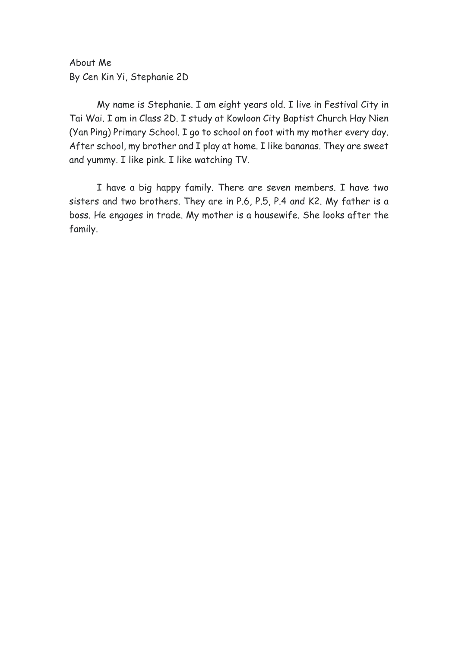About Me By Cen Kin Yi, Stephanie 2D

My name is Stephanie. I am eight years old. I live in Festival City in Tai Wai. I am in Class 2D. I study at Kowloon City Baptist Church Hay Nien (Yan Ping) Primary School. I go to school on foot with my mother every day. After school, my brother and I play at home. I like bananas. They are sweet and yummy. I like pink. I like watching TV.

I have a big happy family. There are seven members. I have two sisters and two brothers. They are in P.6, P.5, P.4 and K2. My father is a boss. He engages in trade. My mother is a housewife. She looks after the family.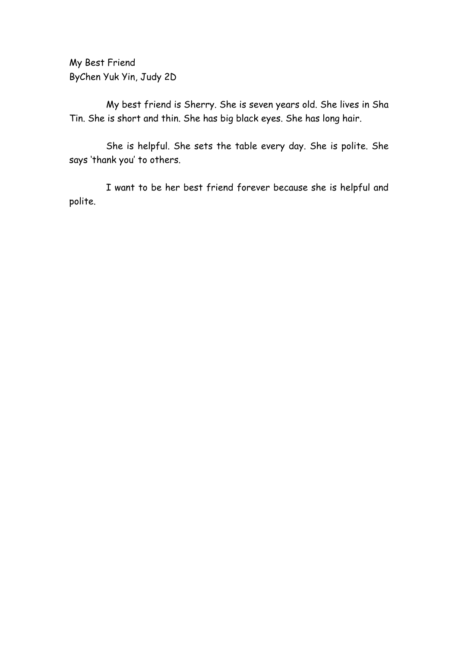My Best Friend ByChen Yuk Yin, Judy 2D

My best friend is Sherry. She is seven years old. She lives in Sha Tin. She is short and thin. She has big black eyes. She has long hair.

She is helpful. She sets the table every day. She is polite. She says 'thank you' to others.

I want to be her best friend forever because she is helpful and polite.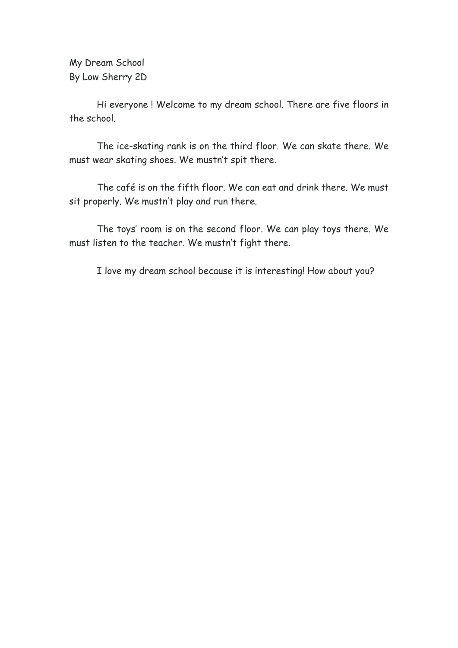My Dream School By Low Sherry 2D

Hi everyone ! Welcome to my dream school. There are five floors in the school.

The ice-skating rank is on the third floor. We can skate there. We must wear skating shoes. We mustn't spit there.

The café is on the fifth floor. We can eat and drink there. We must sit properly. We mustn't play and run there.

The toys' room is on the second floor. We can play toys there. We must listen to the teacher. We mustn't fight there.

I love my dream school because it is interesting! How about you?